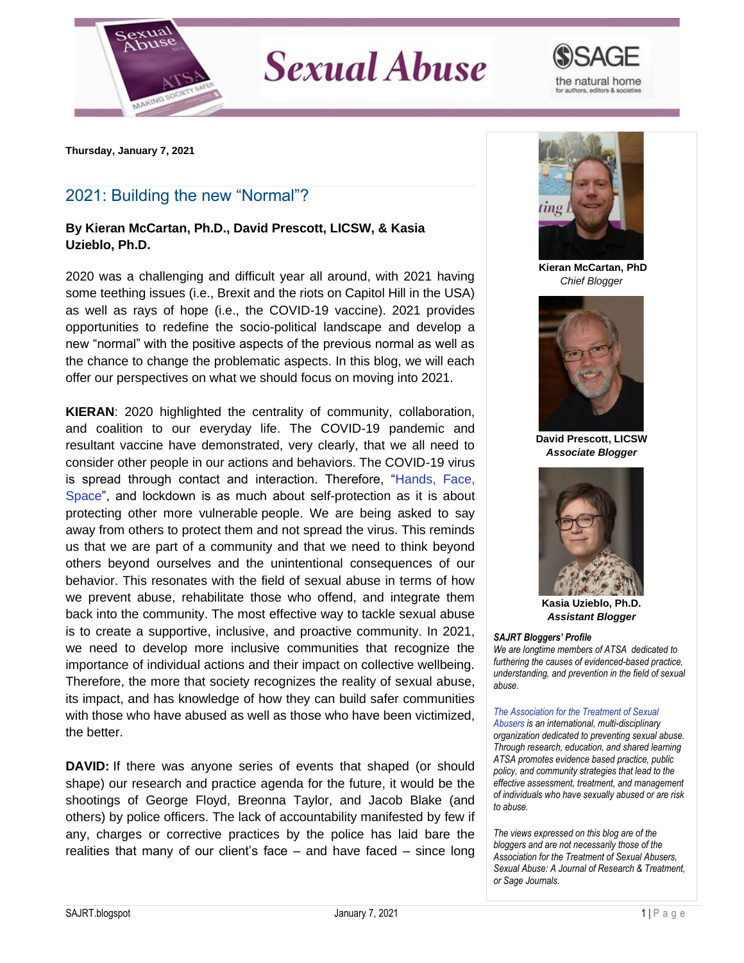

## **Sexual Abuse**



**Thursday, January 7, 2021**

## 2021: Building the new "Normal"?

## **By Kieran McCartan, Ph.D., David Prescott, LICSW, & Kasia Uzieblo, Ph.D.**

2020 was a challenging and difficult year all around, with 2021 having some teething issues (i.e., Brexit and the riots on Capitol Hill in the USA) as well as rays of hope (i.e., the COVID-19 vaccine). 2021 provides opportunities to redefine the socio-political landscape and develop a new "normal" with the positive aspects of the previous normal as well as the chance to change the problematic aspects. In this blog, we will each offer our perspectives on what we should focus on moving into 2021.

**KIERAN**: 2020 highlighted the centrality of community, collaboration, and coalition to our everyday life. The COVID-19 pandemic and resultant vaccine have demonstrated, very clearly, that we all need to consider other people in our actions and behaviors. The COVID-19 virus is spread through contact and interaction. Therefore, ["Hands, Face,](https://www.gov.uk/government/news/new-campaign-to-prevent-spread-of-coronavirus-indoors-this-winter)  [Space"](https://www.gov.uk/government/news/new-campaign-to-prevent-spread-of-coronavirus-indoors-this-winter), and lockdown is as much about self-protection as it is about protecting other more vulnerable people. We are being asked to say away from others to protect them and not spread the virus. This reminds us that we are part of a community and that we need to think beyond others beyond ourselves and the unintentional consequences of our behavior. This resonates with the field of sexual abuse in terms of how we prevent abuse, rehabilitate those who offend, and integrate them back into the community. The most effective way to tackle sexual abuse is to create a supportive, inclusive, and proactive community. In 2021, we need to develop more inclusive communities that recognize the importance of individual actions and their impact on collective wellbeing. Therefore, the more that society recognizes the reality of sexual abuse, its impact, and has knowledge of how they can build safer communities with those who have abused as well as those who have been victimized, the better.

**DAVID:** If there was anyone series of events that shaped (or should shape) our research and practice agenda for the future, it would be the shootings of George Floyd, Breonna Taylor, and Jacob Blake (and others) by police officers. The lack of accountability manifested by few if any, charges or corrective practices by the police has laid bare the realities that many of our client's face – and have faced – since long



**Kieran McCartan, PhD** *Chief Blogger*



**David Prescott, LICSW** *Associate Blogger*



**Kasia Uzieblo, Ph.D.** *Assistant Blogger*

## *SAJRT Bloggers' Profile*

*We are longtime members of ATSA dedicated to furthering the causes of evidenced-based practice, understanding, and prevention in the field of sexual abuse.*

*[The Association for the Treatment of Sexual](http://atsa.com/)  [Abusers](http://atsa.com/) is an international, multi-disciplinary organization dedicated to preventing sexual abuse. Through research, education, and shared learning ATSA promotes evidence based practice, public policy, and community strategies that lead to the effective assessment, treatment, and management of individuals who have sexually abused or are risk to abuse.* 

*The views expressed on this blog are of the bloggers and are not necessarily those of the Association for the Treatment of Sexual Abusers, Sexual Abuse: A Journal of Research & Treatment, or Sage Journals.*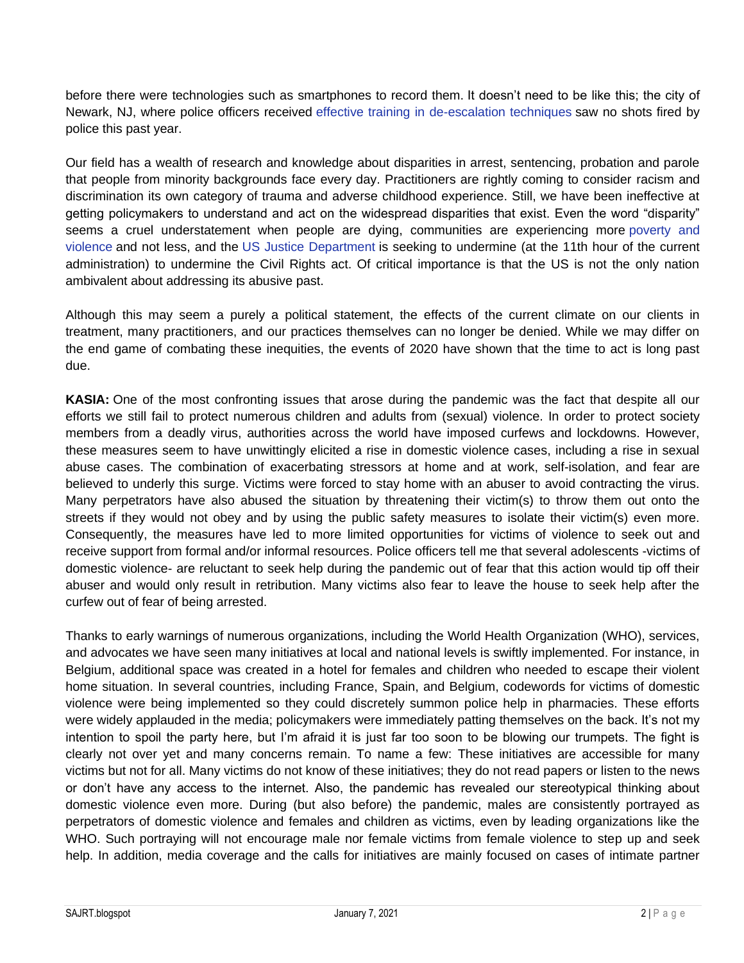before there were technologies such as smartphones to record them. It doesn't need to be like this; the city of Newark, NJ, where police officers received [effective training in de-escalation techniques](https://newjersey.news12.com/newark-police-no-officer-fired-a-single-shot-in-2020-thanks-to-de-escalation-program?fbclid=IwAR1rFcNUaz69b4CsG0y_mzYQ-09k1CJYSeDgmRI6PbO2csktuHxKMswnYOw) saw no shots fired by police this past year.

Our field has a wealth of research and knowledge about disparities in arrest, sentencing, probation and parole that people from minority backgrounds face every day. Practitioners are rightly coming to consider racism and discrimination its own category of trauma and adverse childhood experience. Still, we have been ineffective at getting policymakers to understand and act on the widespread disparities that exist. Even the word "disparity" seems a cruel understatement when people are dying, communities are experiencing more [poverty and](https://www.nytimes.com/2021/01/02/us/crime-poverty-pandemic-cleveland.html?searchResultPosition=2&fbclid=IwAR2ky7EjSzYmafpaDUqBexfUMv7CNf-Kp-PX9SzBXWqg17arJXjkSWN_9ZY)  [violence](https://www.nytimes.com/2021/01/02/us/crime-poverty-pandemic-cleveland.html?searchResultPosition=2&fbclid=IwAR2ky7EjSzYmafpaDUqBexfUMv7CNf-Kp-PX9SzBXWqg17arJXjkSWN_9ZY) and not less, and the [US Justice Department](https://www.nytimes.com/2021/01/05/us/politics/justice-department-disparate-impact.html?action=click&module=Top%20Stories&pgtype=Homepage&fbclid=IwAR30_4UMXNoaL1j14YdIsEDb8r7zcf3S37kECsYtFK6IhbvmSxWachcCjUU) is seeking to undermine (at the 11th hour of the current administration) to undermine the Civil Rights act. Of critical importance is that the US is not the only nation ambivalent about addressing its abusive past.

Although this may seem a purely a political statement, the effects of the current climate on our clients in treatment, many practitioners, and our practices themselves can no longer be denied. While we may differ on the end game of combating these inequities, the events of 2020 have shown that the time to act is long past due.

**KASIA:** One of the most confronting issues that arose during the pandemic was the fact that despite all our efforts we still fail to protect numerous children and adults from (sexual) violence. In order to protect society members from a deadly virus, authorities across the world have imposed curfews and lockdowns. However, these measures seem to have unwittingly elicited a rise in domestic violence cases, including a rise in sexual abuse cases. The combination of exacerbating stressors at home and at work, self-isolation, and fear are believed to underly this surge. Victims were forced to stay home with an abuser to avoid contracting the virus. Many perpetrators have also abused the situation by threatening their victim(s) to throw them out onto the streets if they would not obey and by using the public safety measures to isolate their victim(s) even more. Consequently, the measures have led to more limited opportunities for victims of violence to seek out and receive support from formal and/or informal resources. Police officers tell me that several adolescents -victims of domestic violence- are reluctant to seek help during the pandemic out of fear that this action would tip off their abuser and would only result in retribution. Many victims also fear to leave the house to seek help after the curfew out of fear of being arrested.

Thanks to early warnings of numerous organizations, including the World Health Organization (WHO), services, and advocates we have seen many initiatives at local and national levels is swiftly implemented. For instance, in Belgium, additional space was created in a hotel for females and children who needed to escape their violent home situation. In several countries, including France, Spain, and Belgium, codewords for victims of domestic violence were being implemented so they could discretely summon police help in pharmacies. These efforts were widely applauded in the media; policymakers were immediately patting themselves on the back. It's not my intention to spoil the party here, but I'm afraid it is just far too soon to be blowing our trumpets. The fight is clearly not over yet and many concerns remain. To name a few: These initiatives are accessible for many victims but not for all. Many victims do not know of these initiatives; they do not read papers or listen to the news or don't have any access to the internet. Also, the pandemic has revealed our stereotypical thinking about domestic violence even more. During (but also before) the pandemic, males are consistently portrayed as perpetrators of domestic violence and females and children as victims, even by leading organizations like the WHO. Such portraying will not encourage male nor female victims from female violence to step up and seek help. In addition, media coverage and the calls for initiatives are mainly focused on cases of intimate partner